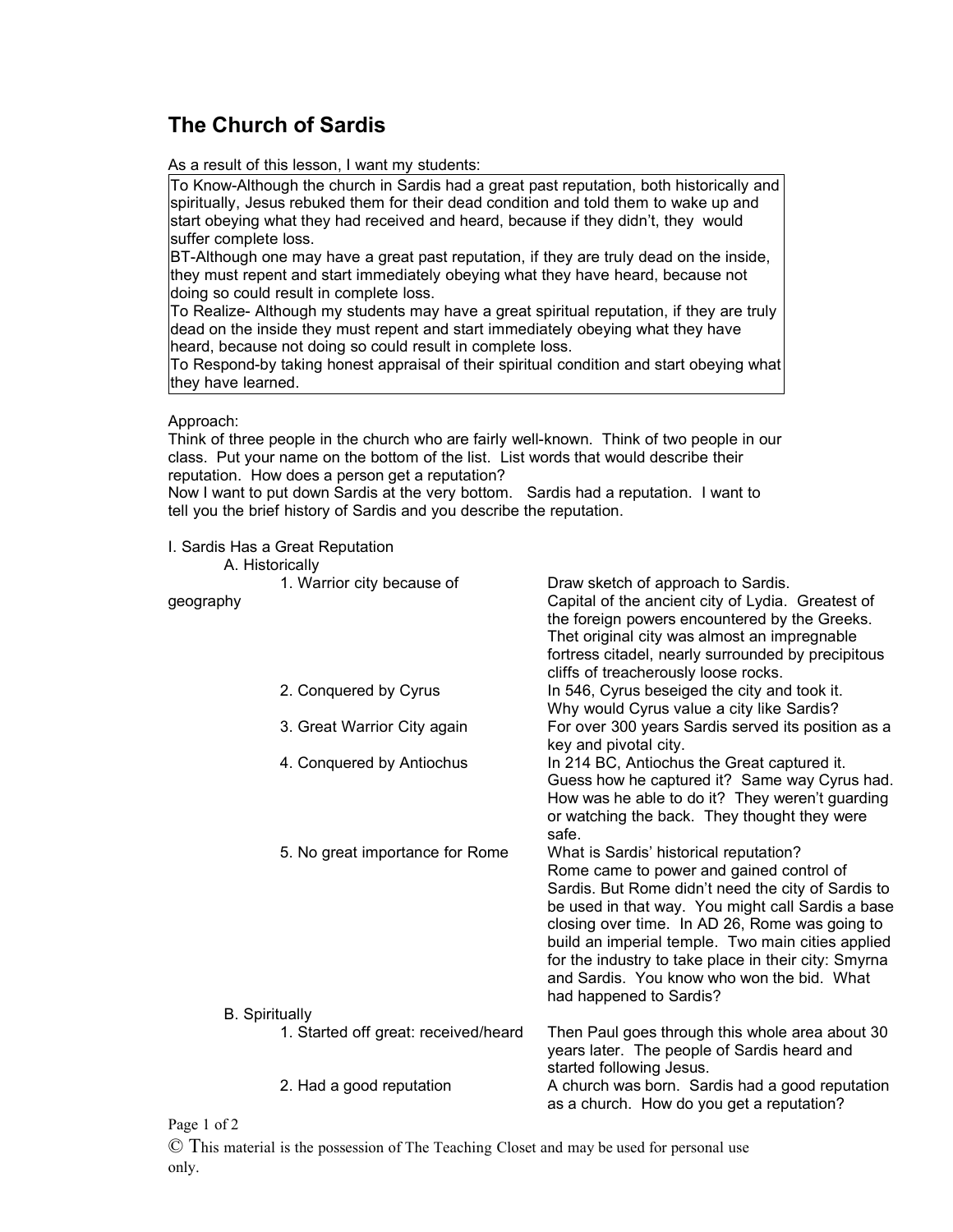## **The Church of Sardis**

As a result of this lesson, I want my students:

To Know-Although the church in Sardis had a great past reputation, both historically and spiritually, Jesus rebuked them for their dead condition and told them to wake up and start obeying what they had received and heard, because if they didn't, they would suffer complete loss.

BT-Although one may have a great past reputation, if they are truly dead on the inside, they must repent and start immediately obeying what they have heard, because not doing so could result in complete loss.

To Realize- Although my students may have a great spiritual reputation, if they are truly dead on the inside they must repent and start immediately obeying what they have heard, because not doing so could result in complete loss.

To Respond-by taking honest appraisal of their spiritual condition and start obeying what they have learned.

## Approach:

Think of three people in the church who are fairly well-known. Think of two people in our class. Put your name on the bottom of the list. List words that would describe their reputation. How does a person get a reputation?

Now I want to put down Sardis at the very bottom. Sardis had a reputation. I want to tell you the brief history of Sardis and you describe the reputation.

I. Sardis Has a Great Reputation

| A. Historically                                               |  |                                                                                                                                                                                                                                                                                                                                                                                                                                       |
|---------------------------------------------------------------|--|---------------------------------------------------------------------------------------------------------------------------------------------------------------------------------------------------------------------------------------------------------------------------------------------------------------------------------------------------------------------------------------------------------------------------------------|
| 1. Warrior city because of<br>geography                       |  | Draw sketch of approach to Sardis.<br>Capital of the ancient city of Lydia. Greatest of<br>the foreign powers encountered by the Greeks.<br>Thet original city was almost an impregnable<br>fortress citadel, nearly surrounded by precipitous<br>cliffs of treacherously loose rocks.                                                                                                                                                |
| 2. Conquered by Cyrus                                         |  | In 546, Cyrus beseiged the city and took it.<br>Why would Cyrus value a city like Sardis?                                                                                                                                                                                                                                                                                                                                             |
| 3. Great Warrior City again                                   |  | For over 300 years Sardis served its position as a<br>key and pivotal city.                                                                                                                                                                                                                                                                                                                                                           |
| 4. Conquered by Antiochus                                     |  | In 214 BC, Antiochus the Great captured it.<br>Guess how he captured it? Same way Cyrus had.<br>How was he able to do it? They weren't guarding<br>or watching the back. They thought they were<br>safe.                                                                                                                                                                                                                              |
| 5. No great importance for Rome                               |  | What is Sardis' historical reputation?<br>Rome came to power and gained control of<br>Sardis. But Rome didn't need the city of Sardis to<br>be used in that way. You might call Sardis a base<br>closing over time. In AD 26, Rome was going to<br>build an imperial temple. Two main cities applied<br>for the industry to take place in their city: Smyrna<br>and Sardis. You know who won the bid. What<br>had happened to Sardis? |
| <b>B.</b> Spiritually<br>1. Started off great: received/heard |  | Then Paul goes through this whole area about 30                                                                                                                                                                                                                                                                                                                                                                                       |
| 2. Had a good reputation                                      |  | years later. The people of Sardis heard and<br>started following Jesus.<br>A church was born. Sardis had a good reputation                                                                                                                                                                                                                                                                                                            |
| $\mathbf{D}$ $\mathbf{I}$ $\mathbf{C}$                        |  | as a church. How do you get a reputation?                                                                                                                                                                                                                                                                                                                                                                                             |

Page 1 of 2

© This material is the possession of The Teaching Closet and may be used for personal use only.